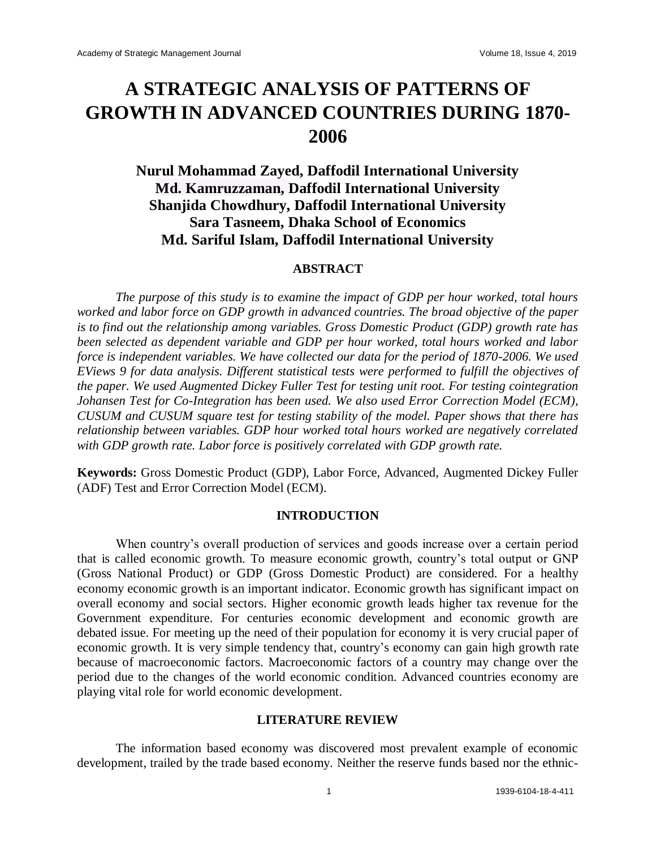# **A STRATEGIC ANALYSIS OF PATTERNS OF GROWTH IN ADVANCED COUNTRIES DURING 1870- 2006**

# **Nurul Mohammad Zayed, Daffodil International University Md. Kamruzzaman, Daffodil International University Shanjida Chowdhury, Daffodil International University Sara Tasneem, Dhaka School of Economics Md. Sariful Islam, Daffodil International University**

### **ABSTRACT**

*The purpose of this study is to examine the impact of GDP per hour worked, total hours worked and labor force on GDP growth in advanced countries. The broad objective of the paper is to find out the relationship among variables. Gross Domestic Product (GDP) growth rate has been selected as dependent variable and GDP per hour worked, total hours worked and labor force is independent variables. We have collected our data for the period of 1870-2006. We used EViews 9 for data analysis. Different statistical tests were performed to fulfill the objectives of the paper. We used Augmented Dickey Fuller Test for testing unit root. For testing cointegration Johansen Test for Co-Integration has been used. We also used Error Correction Model (ECM), CUSUM and CUSUM square test for testing stability of the model. Paper shows that there has relationship between variables. GDP hour worked total hours worked are negatively correlated with GDP growth rate. Labor force is positively correlated with GDP growth rate.* 

**Keywords:** Gross Domestic Product (GDP), Labor Force, Advanced, Augmented Dickey Fuller (ADF) Test and Error Correction Model (ECM).

### **INTRODUCTION**

When country's overall production of services and goods increase over a certain period that is called economic growth. To measure economic growth, country's total output or GNP (Gross National Product) or GDP (Gross Domestic Product) are considered. For a healthy economy economic growth is an important indicator. Economic growth has significant impact on overall economy and social sectors. Higher economic growth leads higher tax revenue for the Government expenditure. For centuries economic development and economic growth are debated issue. For meeting up the need of their population for economy it is very crucial paper of economic growth. It is very simple tendency that, country's economy can gain high growth rate because of macroeconomic factors. Macroeconomic factors of a country may change over the period due to the changes of the world economic condition. Advanced countries economy are playing vital role for world economic development.

# **LITERATURE REVIEW**

The information based economy was discovered most prevalent example of economic development, trailed by the trade based economy. Neither the reserve funds based nor the ethnic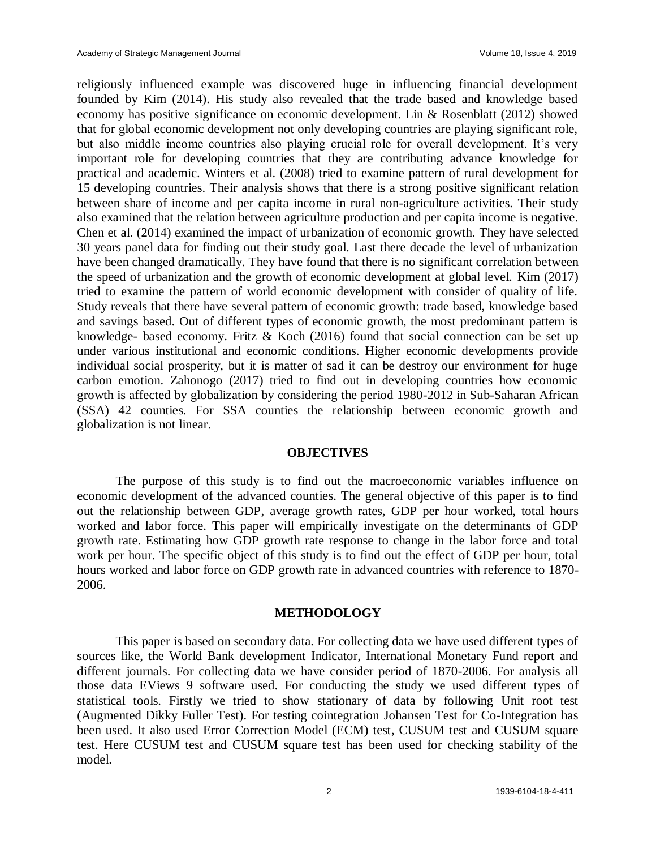religiously influenced example was discovered huge in influencing financial development founded by Kim (2014). His study also revealed that the trade based and knowledge based economy has positive significance on economic development. Lin & Rosenblatt (2012) showed that for global economic development not only developing countries are playing significant role, but also middle income countries also playing crucial role for overall development. It's very important role for developing countries that they are contributing advance knowledge for practical and academic. Winters et al. (2008) tried to examine pattern of rural development for 15 developing countries. Their analysis shows that there is a strong positive significant relation between share of income and per capita income in rural non-agriculture activities. Their study also examined that the relation between agriculture production and per capita income is negative. Chen et al. (2014) examined the impact of urbanization of economic growth. They have selected 30 years panel data for finding out their study goal. Last there decade the level of urbanization have been changed dramatically. They have found that there is no significant correlation between the speed of urbanization and the growth of economic development at global level. Kim (2017) tried to examine the pattern of world economic development with consider of quality of life. Study reveals that there have several pattern of economic growth: trade based, knowledge based and savings based. Out of different types of economic growth, the most predominant pattern is knowledge- based economy. Fritz & Koch (2016) found that social connection can be set up under various institutional and economic conditions. Higher economic developments provide individual social prosperity, but it is matter of sad it can be destroy our environment for huge carbon emotion. Zahonogo (2017) tried to find out in developing countries how economic growth is affected by globalization by considering the period 1980-2012 in Sub-Saharan African (SSA) 42 counties. For SSA counties the relationship between economic growth and globalization is not linear.

#### **OBJECTIVES**

The purpose of this study is to find out the macroeconomic variables influence on economic development of the advanced counties. The general objective of this paper is to find out the relationship between GDP, average growth rates, GDP per hour worked, total hours worked and labor force. This paper will empirically investigate on the determinants of GDP growth rate. Estimating how GDP growth rate response to change in the labor force and total work per hour. The specific object of this study is to find out the effect of GDP per hour, total hours worked and labor force on GDP growth rate in advanced countries with reference to 1870- 2006.

#### **METHODOLOGY**

This paper is based on secondary data. For collecting data we have used different types of sources like, the World Bank development Indicator, International Monetary Fund report and different journals. For collecting data we have consider period of 1870-2006. For analysis all those data EViews 9 software used. For conducting the study we used different types of statistical tools. Firstly we tried to show stationary of data by following Unit root test (Augmented Dikky Fuller Test). For testing cointegration Johansen Test for Co-Integration has been used. It also used Error Correction Model (ECM) test, CUSUM test and CUSUM square test. Here CUSUM test and CUSUM square test has been used for checking stability of the model.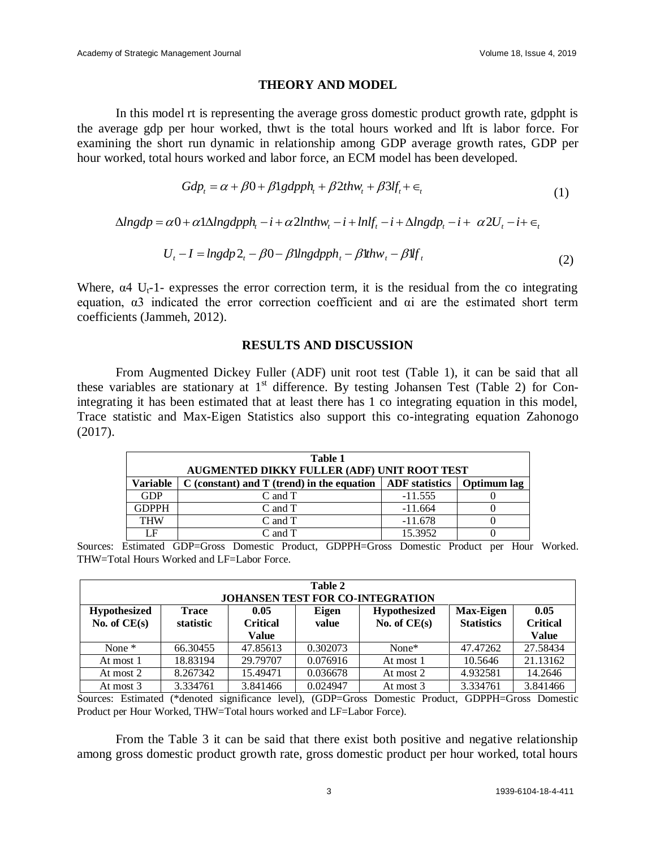#### **THEORY AND MODEL**

In this model rt is representing the average gross domestic product growth rate, gdppht is the average gdp per hour worked, thwt is the total hours worked and lft is labor force. For examining the short run dynamic in relationship among GDP average growth rates, GDP per hour worked, total hours worked and labor force, an ECM model has been developed.

$$
Gdp_t = \alpha + \beta 0 + \beta 1 gdpph_t + \beta 2thw_t + \beta 3lf_t + \epsilon_t
$$
\n(1)

$$
\Delta Ingdp = \alpha 0 + \alpha 1 \Delta Ingdpph_i - i + \alpha 2Inthw_i - i + lnlf_i - i + \Delta Ingdp_i - i + \alpha 2U_i - i + \epsilon_i
$$

$$
U_t - I = \ln g dp 2_t - \beta 0 - \beta \ln g dp ph_t - \beta \ln w_t - \beta \ln t
$$
\n(2)

Where,  $\alpha$ 4 U<sub>t</sub>-1- expresses the error correction term, it is the residual from the co integrating equation, α3 indicated the error correction coefficient and αi are the estimated short term coefficients (Jammeh, 2012).

# **RESULTS AND DISCUSSION**

From Augmented Dickey Fuller (ADF) unit root test (Table 1), it can be said that all these variables are stationary at  $1<sup>st</sup>$  difference. By testing Johansen Test (Table 2) for Conintegrating it has been estimated that at least there has 1 co integrating equation in this model, Trace statistic and Max-Eigen Statistics also support this co-integrating equation Zahonogo (2017).

| Table 1<br>AUGMENTED DIKKY FULLER (ADF) UNIT ROOT TEST |                                                |                       |             |  |  |
|--------------------------------------------------------|------------------------------------------------|-----------------------|-------------|--|--|
| Variable                                               | $C$ (constant) and $T$ (trend) in the equation | <b>ADF</b> statistics | Optimum lag |  |  |
| <b>GDP</b>                                             | $C$ and $T$                                    | $-11.555$             |             |  |  |
| <b>GDPPH</b>                                           | C and T                                        | $-11.664$             |             |  |  |
| <b>THW</b>                                             | C and T                                        | $-11.678$             |             |  |  |
| ΙF                                                     | $C$ and $T$                                    | 15.3952               |             |  |  |

Sources: Estimated GDP=Gross Domestic Product, GDPPH=Gross Domestic Product per Hour Worked. THW=Total Hours Worked and LF=Labor Force.

| Table 2<br><b>JOHANSEN TEST FOR CO-INTEGRATION</b> |                           |                         |                |                                       |                                       |                         |
|----------------------------------------------------|---------------------------|-------------------------|----------------|---------------------------------------|---------------------------------------|-------------------------|
| <b>Hypothesized</b><br>No. of $CE(s)$              | <b>Trace</b><br>statistic | 0.05<br><b>Critical</b> | Eigen<br>value | <b>Hypothesized</b><br>No. of $CE(s)$ | <b>Max-Eigen</b><br><b>Statistics</b> | 0.05<br><b>Critical</b> |
|                                                    |                           | <b>Value</b>            |                |                                       |                                       | <b>Value</b>            |
| None $*$                                           | 66.30455                  | 47.85613                | 0.302073       | None $*$                              | 47.47262                              | 27.58434                |
| At most 1                                          | 18.83194                  | 29.79707                | 0.076916       | At most 1                             | 10.5646                               | 21.13162                |
| At most 2                                          | 8.267342                  | 15.49471                | 0.036678       | At most 2                             | 4.932581                              | 14.2646                 |
| At most 3                                          | 3.334761                  | 3.841466                | 0.024947       | At most 3                             | 3.334761                              | 3.841466                |

Sources: Estimated (\*denoted significance level), (GDP=Gross Domestic Product, GDPPH=Gross Domestic Product per Hour Worked, THW=Total hours worked and LF=Labor Force).

From the Table 3 it can be said that there exist both positive and negative relationship among gross domestic product growth rate, gross domestic product per hour worked, total hours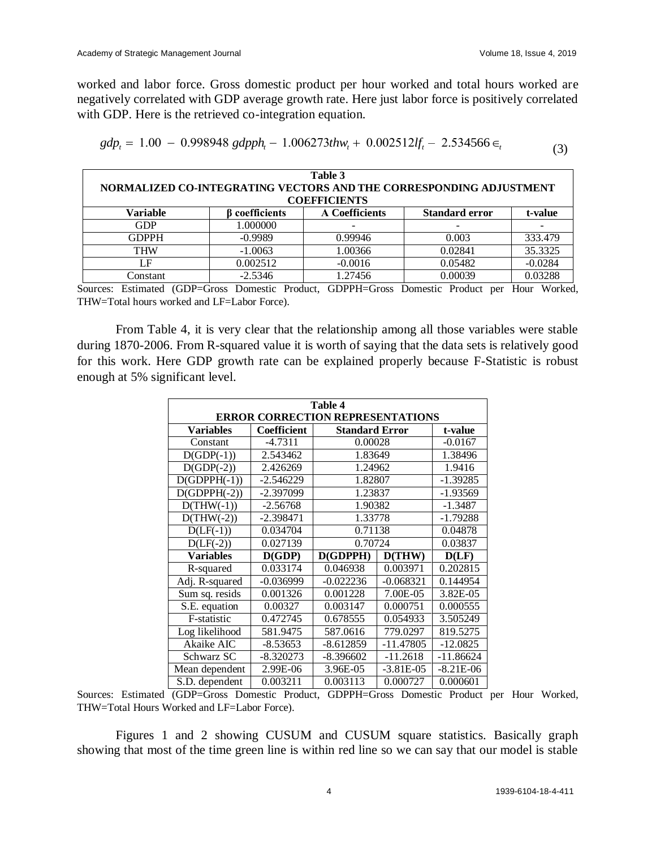worked and labor force. Gross domestic product per hour worked and total hours worked are negatively correlated with GDP average growth rate. Here just labor force is positively correlated with GDP. Here is the retrieved co-integration equation.

$$
gdp_t = 1.00 - 0.998948 \, gdpph_t - 1.006273thw_t + 0.002512lf_t - 2.534566 \, \epsilon_t \tag{3}
$$

| Table 3<br>NORMALIZED CO-INTEGRATING VECTORS AND THE CORRESPONDING ADJUSTMENT<br><b>COEFFICIENTS</b> |                       |                       |                       |           |  |  |
|------------------------------------------------------------------------------------------------------|-----------------------|-----------------------|-----------------------|-----------|--|--|
| Variable                                                                                             | <b>B</b> coefficients | <b>A Coefficients</b> | <b>Standard error</b> | t-value   |  |  |
| <b>GDP</b>                                                                                           | 1.000000              |                       |                       |           |  |  |
| <b>GDPPH</b>                                                                                         | $-0.9989$             | 0.99946               | 0.003                 | 333.479   |  |  |
| <b>THW</b>                                                                                           | $-1.0063$             | 1.00366               | 0.02841               | 35.3325   |  |  |
| LF                                                                                                   | 0.002512              | $-0.0016$             | 0.05482               | $-0.0284$ |  |  |
| `onstant                                                                                             | $-2.5346$             | 1.27456               | 0.00039               | 0.03288   |  |  |

Sources: Estimated (GDP=Gross Domestic Product, GDPPH=Gross Domestic Product per Hour Worked, THW=Total hours worked and LF=Labor Force).

From Table 4, it is very clear that the relationship among all those variables were stable during 1870-2006. From R-squared value it is worth of saying that the data sets is relatively good for this work. Here GDP growth rate can be explained properly because F-Statistic is robust enough at 5% significant level.

| Table 4                                 |                    |                       |             |             |  |  |
|-----------------------------------------|--------------------|-----------------------|-------------|-------------|--|--|
| <b>ERROR CORRECTION REPRESENTATIONS</b> |                    |                       |             |             |  |  |
| <b>Variables</b>                        | <b>Coefficient</b> | <b>Standard Error</b> |             | t-value     |  |  |
| Constant                                | $-4.7311$          | 0.00028               |             | $-0.0167$   |  |  |
| $D(GDP(-1))$                            | 2.543462           | 1.83649               |             | 1.38496     |  |  |
| $D(GDP(-2))$                            | 2.426269           | 1.24962               |             | 1.9416      |  |  |
| $D(GDPPH(-1))$                          | $-2.546229$        | 1.82807               |             | $-1.39285$  |  |  |
| $D(GDPPH(-2))$                          | -2.397099          | 1.23837               |             | $-1.93569$  |  |  |
| $D(THW(-1))$                            | $-2.56768$         | 1.90382               |             | $-1.3487$   |  |  |
| $D(THW(-2))$                            | $-2.398471$        | 1.33778               |             | $-1.79288$  |  |  |
| $D(LF(-1))$                             | 0.034704           | 0.71138               |             | 0.04878     |  |  |
| $D(LF(-2))$                             | 0.027139           | 0.70724               |             | 0.03837     |  |  |
| <b>Variables</b>                        | D(GDP)             | D(GDPPH)              | D(THW)      | D(LF)       |  |  |
| R-squared                               | 0.033174           | 0.046938              | 0.003971    | 0.202815    |  |  |
| Adj. R-squared                          | $-0.036999$        | $-0.022236$           | $-0.068321$ | 0.144954    |  |  |
| Sum sq. resids                          | 0.001326           | 0.001228              | 7.00E-05    | 3.82E-05    |  |  |
| S.E. equation                           | 0.00327            | 0.003147              | 0.000751    | 0.000555    |  |  |
| F-statistic                             | 0.472745           | 0.678555              | 0.054933    | 3.505249    |  |  |
| Log likelihood                          | 581.9475           | 587.0616              | 779.0297    | 819.5275    |  |  |
| Akaike AIC                              | $-8.53653$         | -8.612859             | $-11.47805$ | $-12.0825$  |  |  |
| Schwarz SC                              | $-8.320273$        | -8.396602             | $-11.2618$  | $-11.86624$ |  |  |
| Mean dependent                          | 2.99E-06           | 3.96E-05              | $-3.81E-05$ | $-8.21E-06$ |  |  |
| S.D. dependent                          | 0.003211           | 0.003113              | 0.000727    | 0.000601    |  |  |

Sources: Estimated (GDP=Gross Domestic Product, GDPPH=Gross Domestic Product per Hour Worked, THW=Total Hours Worked and LF=Labor Force).

Figures 1 and 2 showing CUSUM and CUSUM square statistics. Basically graph showing that most of the time green line is within red line so we can say that our model is stable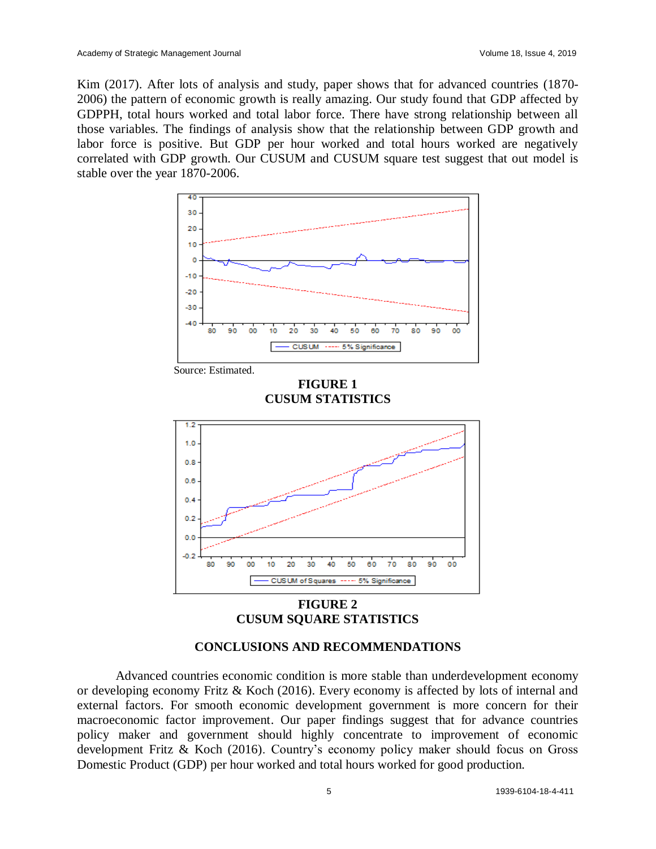Kim (2017). After lots of analysis and study, paper shows that for advanced countries (1870- 2006) the pattern of economic growth is really amazing. Our study found that GDP affected by GDPPH, total hours worked and total labor force. There have strong relationship between all those variables. The findings of analysis show that the relationship between GDP growth and labor force is positive. But GDP per hour worked and total hours worked are negatively correlated with GDP growth. Our CUSUM and CUSUM square test suggest that out model is stable over the year 1870-2006.



# **CUSUM SQUARE STATISTICS**

# **CONCLUSIONS AND RECOMMENDATIONS**

Advanced countries economic condition is more stable than underdevelopment economy or developing economy Fritz & Koch (2016). Every economy is affected by lots of internal and external factors. For smooth economic development government is more concern for their macroeconomic factor improvement. Our paper findings suggest that for advance countries policy maker and government should highly concentrate to improvement of economic development Fritz & Koch (2016). Country's economy policy maker should focus on Gross Domestic Product (GDP) per hour worked and total hours worked for good production.